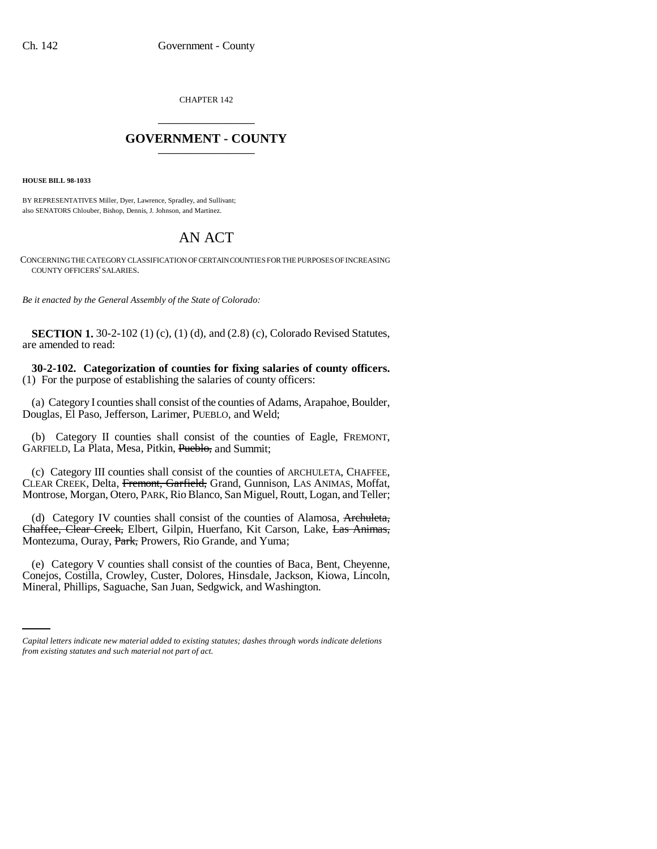CHAPTER 142 \_\_\_\_\_\_\_\_\_\_\_\_\_\_\_

## **GOVERNMENT - COUNTY** \_\_\_\_\_\_\_\_\_\_\_\_\_\_\_

**HOUSE BILL 98-1033**

BY REPRESENTATIVES Miller, Dyer, Lawrence, Spradley, and Sullivant; also SENATORS Chlouber, Bishop, Dennis, J. Johnson, and Martinez.

## AN ACT

CONCERNING THE CATEGORY CLASSIFICATION OF CERTAIN COUNTIES FOR THE PURPOSES OF INCREASING COUNTY OFFICERS' SALARIES.

*Be it enacted by the General Assembly of the State of Colorado:*

**SECTION 1.** 30-2-102 (1) (c), (1) (d), and (2.8) (c), Colorado Revised Statutes, are amended to read:

**30-2-102. Categorization of counties for fixing salaries of county officers.** (1) For the purpose of establishing the salaries of county officers:

(a) Category I counties shall consist of the counties of Adams, Arapahoe, Boulder, Douglas, El Paso, Jefferson, Larimer, PUEBLO, and Weld;

(b) Category II counties shall consist of the counties of Eagle, FREMONT, GARFIELD, La Plata, Mesa, Pitkin, Pueblo, and Summit;

(c) Category III counties shall consist of the counties of ARCHULETA, CHAFFEE, CLEAR CREEK, Delta, Fremont, Garfield, Grand, Gunnison, LAS ANIMAS, Moffat, Montrose, Morgan, Otero, PARK, Rio Blanco, San Miguel, Routt, Logan, and Teller;

(d) Category IV counties shall consist of the counties of Alamosa, Archuleta, Chaffee, Clear Creek, Elbert, Gilpin, Huerfano, Kit Carson, Lake, Las Animas, Montezuma, Ouray, Park, Prowers, Rio Grande, and Yuma;

Conejos, Costilla, Crowley, Custer, Dolores, Hinsdale, Jackson, Kiowa, Lincoln, (e) Category V counties shall consist of the counties of Baca, Bent, Cheyenne, Mineral, Phillips, Saguache, San Juan, Sedgwick, and Washington.

*Capital letters indicate new material added to existing statutes; dashes through words indicate deletions from existing statutes and such material not part of act.*